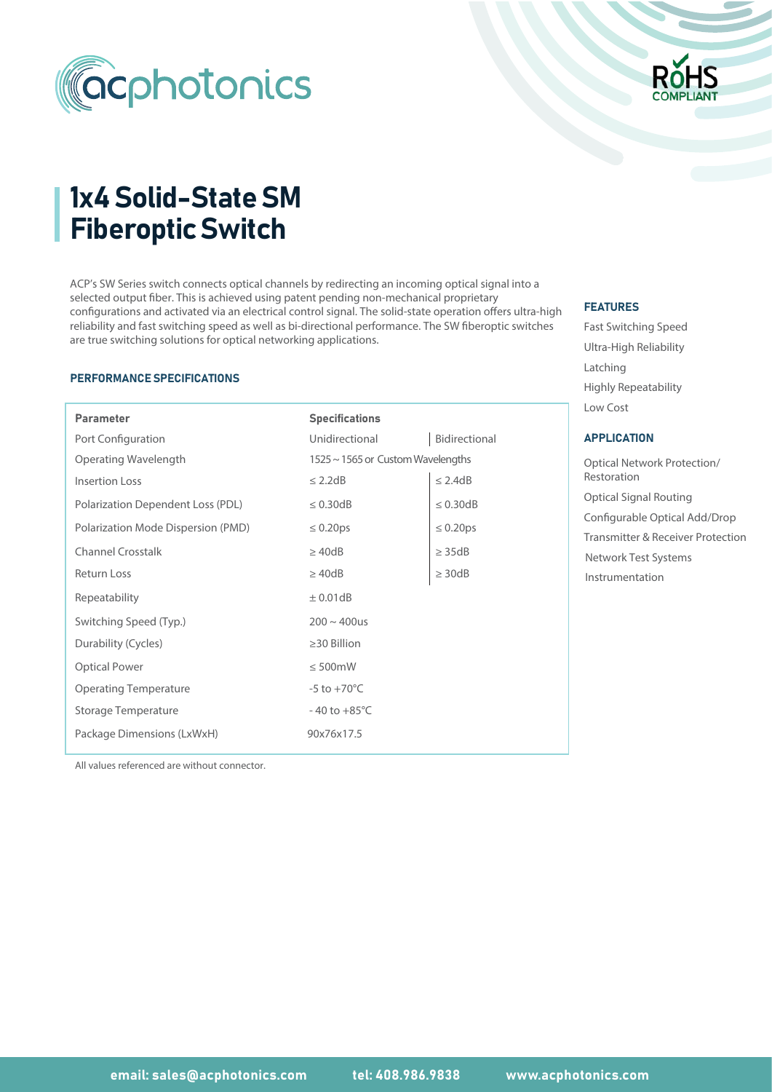



# 1x4 Solid-State SM Fiberoptic Switch

ACP's SW Series switch connects optical channels by redirecting an incoming optical signal into a selected output fiber. This is achieved using patent pending non-mechanical proprietary configurations and activated via an electrical control signal. The solid-state operation offers ultra-high reliability and fast switching speed as well as bi-directional performance. The SW fiberoptic switches are true switching solutions for optical networking applications.

#### PERFORMANCE SPECIFICATIONS

I

| <b>Parameter</b>                   | <b>Specifications</b>             |                |
|------------------------------------|-----------------------------------|----------------|
| Port Configuration                 | Unidirectional                    | Bidirectional  |
| Operating Wavelength               | 1525 ~ 1565 or Custom Wavelengths |                |
| <b>Insertion Loss</b>              | $\leq$ 2.2dB                      | $\leq$ 2.4dB   |
| Polarization Dependent Loss (PDL)  | $\leq 0.30$ dB                    | $\leq$ 0.30dB  |
| Polarization Mode Dispersion (PMD) | $\leq 0.20 \text{ps}$             | $\leq 0.20$ ps |
| <b>Channel Crosstalk</b>           | $\geq 40dB$                       | $\geq$ 35dB    |
| <b>Return Loss</b>                 | $\geq$ 40dB                       | $\geq$ 30dB    |
| Repeatability                      | $\pm$ 0.01dB                      |                |
| Switching Speed (Typ.)             | $200 \sim 400$ us                 |                |
| Durability (Cycles)                | $\geq$ 30 Billion                 |                |
| <b>Optical Power</b>               | $\leq 500$ mW                     |                |
| <b>Operating Temperature</b>       | $-5$ to $+70^{\circ}$ C           |                |
| Storage Temperature                | $-40$ to $+85^{\circ}$ C          |                |
| Package Dimensions (LxWxH)         | 90x76x17.5                        |                |

# FEATURES

Fast Switching Speed Ultra-High Reliability Latching Low Cost Highly Repeatability

#### APPLICATION

Optical Signal Routing Optical Network Protection/ Restoration Configurable Optical Add/Drop Transmitter & Receiver Protection Instrumentation Network Test Systems

All values referenced are without connector.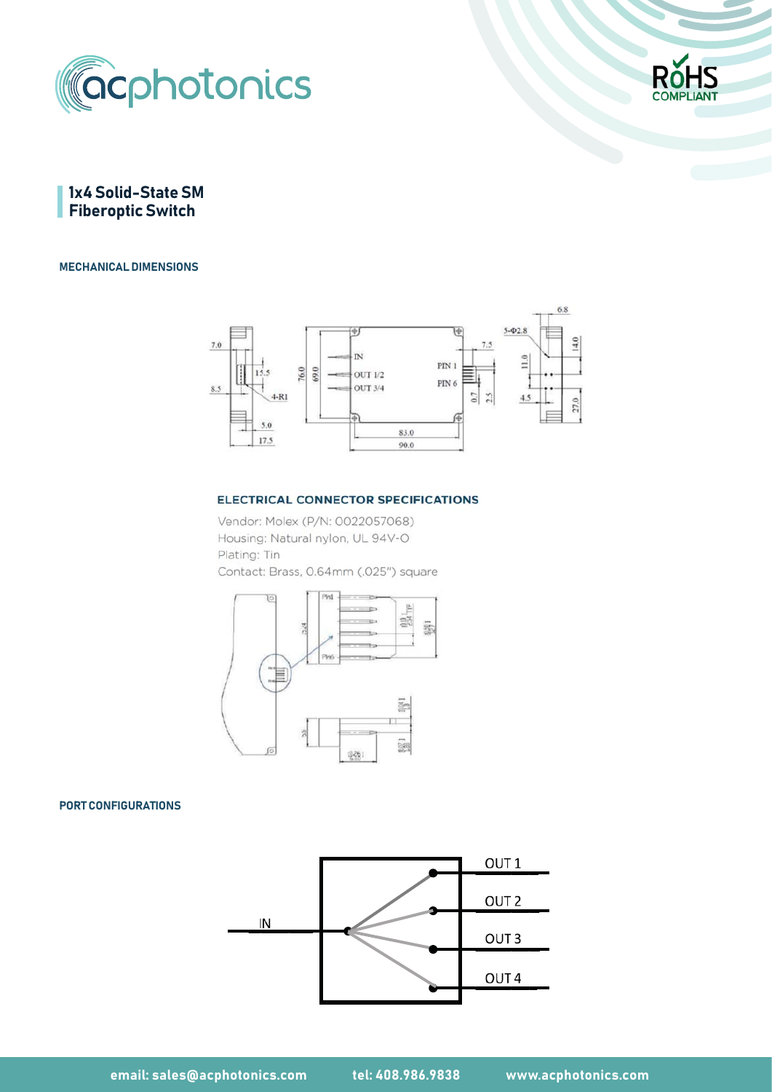



1x4 Solid-State SM **Fiberoptic Switch** 

## MECHANICAL DIMENSIONS



#### **ELECTRICAL CONNECTOR SPECIFICATIONS**

Vendor: Molex (P/N: 0022057068) Housing: Natural nylon, UL 94V-O Plating: Tin Contact: Brass, 0.64mm (.025") square



## PORT CONFIGURATIONS